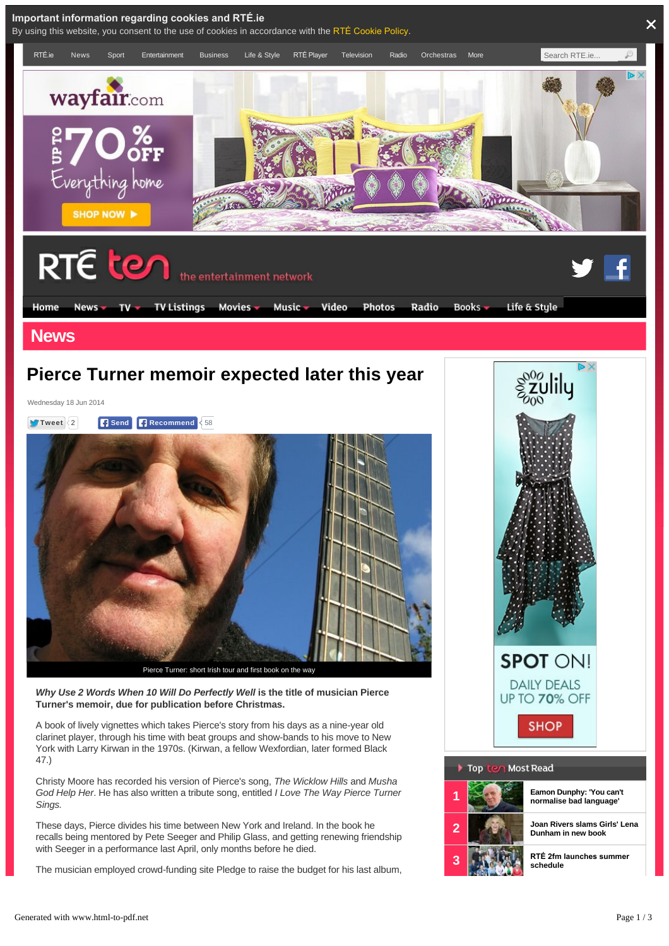

These days, Pierce divides his time between New York and Ireland. In the book he recalls being mentored by Pete Seeger and Philip Glass, and getting renewing friendship with Seeger in a performance last April, only months before he died.

The musician employed crowd-funding site Pledge to raise the budget for his last album,

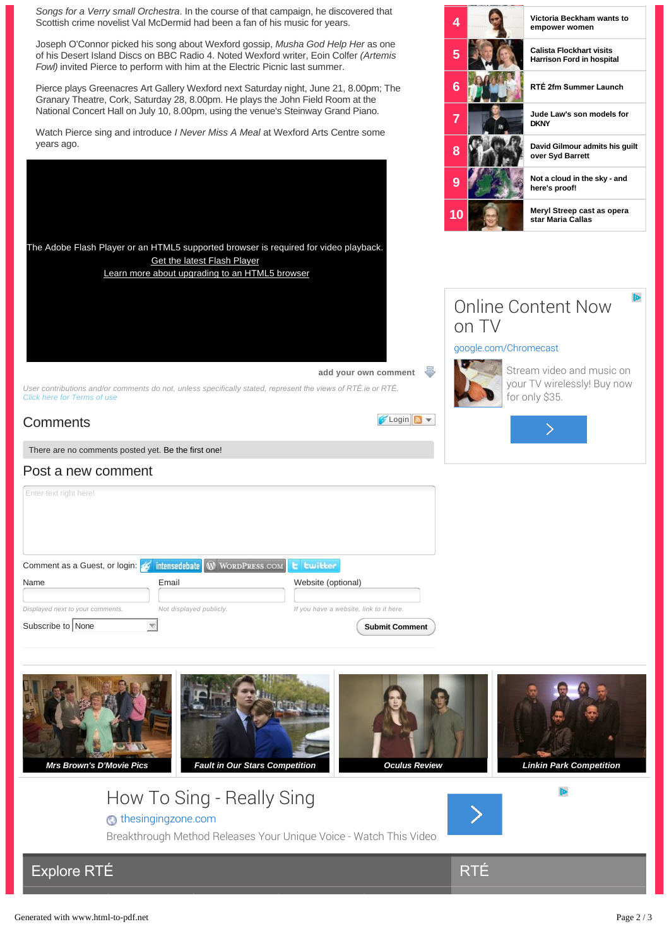